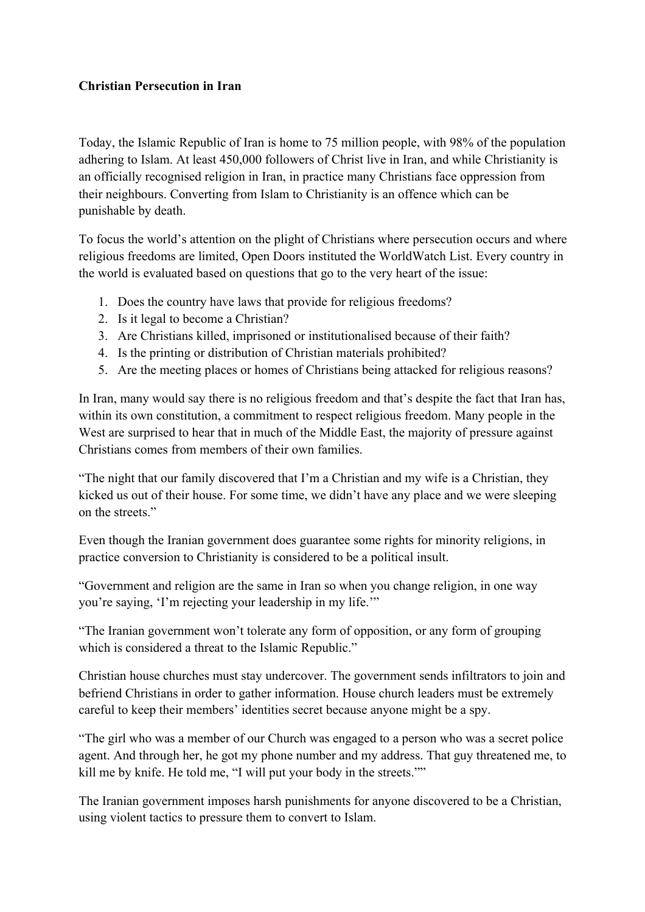## **Christian Persecution in Iran**

Today, the Islamic Republic of Iran is home to 75 million people, with 98% of the population adhering to Islam. At least 450,000 followers of Christ live in Iran, and while Christianity is an officially recognised religion in Iran, in practice many Christians face oppression from their neighbours. Converting from Islam to Christianity is an offence which can be punishable by death.

To focus the world's attention on the plight of Christians where persecution occurs and where religious freedoms are limited, Open Doors instituted the WorldWatch List. Every country in the world is evaluated based on questions that go to the very heart of the issue:

- 1. Does the country have laws that provide for religious freedoms?
- 2. Is it legal to become a Christian?
- 3. Are Christians killed, imprisoned or institutionalised because of their faith?
- 4. Is the printing or distribution of Christian materials prohibited?
- 5. Are the meeting places or homes of Christians being attacked for religious reasons?

In Iran, many would say there is no religious freedom and that's despite the fact that Iran has, within its own constitution, a commitment to respect religious freedom. Many people in the West are surprised to hear that in much of the Middle East, the majority of pressure against Christians comes from members of their own families.

"The night that our family discovered that I'm a Christian and my wife is a Christian, they kicked us out of their house. For some time, we didn't have any place and we were sleeping on the streets."

Even though the Iranian government does guarantee some rights for minority religions, in practice conversion to Christianity is considered to be a political insult.

"Government and religion are the same in Iran so when you change religion, in one way you're saying, 'I'm rejecting your leadership in my life.'"

"The Iranian government won't tolerate any form of opposition, or any form of grouping which is considered a threat to the Islamic Republic."

Christian house churches must stay undercover. The government sends infiltrators to join and befriend Christians in order to gather information. House church leaders must be extremely careful to keep their members' identities secret because anyone might be a spy.

"The girl who was a member of our Church was engaged to a person who was a secret police agent. And through her, he got my phone number and my address. That guy threatened me, to kill me by knife. He told me, "I will put your body in the streets.""

The Iranian government imposes harsh punishments for anyone discovered to be a Christian, using violent tactics to pressure them to convert to Islam.